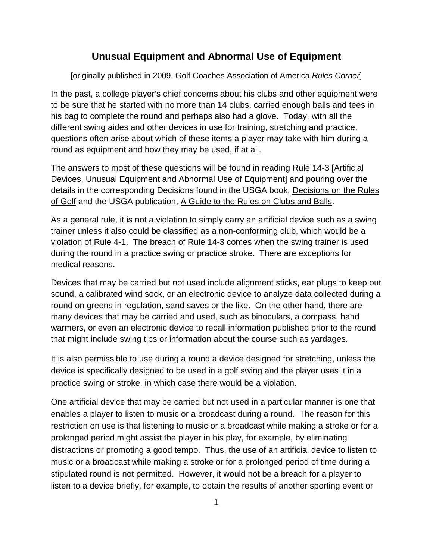## **Unusual Equipment and Abnormal Use of Equipment**

[originally published in 2009, Golf Coaches Association of America *Rules Corner*]

In the past, a college player's chief concerns about his clubs and other equipment were to be sure that he started with no more than 14 clubs, carried enough balls and tees in his bag to complete the round and perhaps also had a glove. Today, with all the different swing aides and other devices in use for training, stretching and practice, questions often arise about which of these items a player may take with him during a round as equipment and how they may be used, if at all.

The answers to most of these questions will be found in reading Rule 14-3 [Artificial Devices, Unusual Equipment and Abnormal Use of Equipment] and pouring over the details in the corresponding Decisions found in the USGA book, Decisions on the Rules of Golf and the USGA publication, A Guide to the Rules on Clubs and Balls.

As a general rule, it is not a violation to simply carry an artificial device such as a swing trainer unless it also could be classified as a non-conforming club, which would be a violation of Rule 4-1. The breach of Rule 14-3 comes when the swing trainer is used during the round in a practice swing or practice stroke. There are exceptions for medical reasons.

Devices that may be carried but not used include alignment sticks, ear plugs to keep out sound, a calibrated wind sock, or an electronic device to analyze data collected during a round on greens in regulation, sand saves or the like. On the other hand, there are many devices that may be carried and used, such as binoculars, a compass, hand warmers, or even an electronic device to recall information published prior to the round that might include swing tips or information about the course such as yardages.

It is also permissible to use during a round a device designed for stretching, unless the device is specifically designed to be used in a golf swing and the player uses it in a practice swing or stroke, in which case there would be a violation.

One artificial device that may be carried but not used in a particular manner is one that enables a player to listen to music or a broadcast during a round. The reason for this restriction on use is that listening to music or a broadcast while making a stroke or for a prolonged period might assist the player in his play, for example, by eliminating distractions or promoting a good tempo. Thus, the use of an artificial device to listen to music or a broadcast while making a stroke or for a prolonged period of time during a stipulated round is not permitted. However, it would not be a breach for a player to listen to a device briefly, for example, to obtain the results of another sporting event or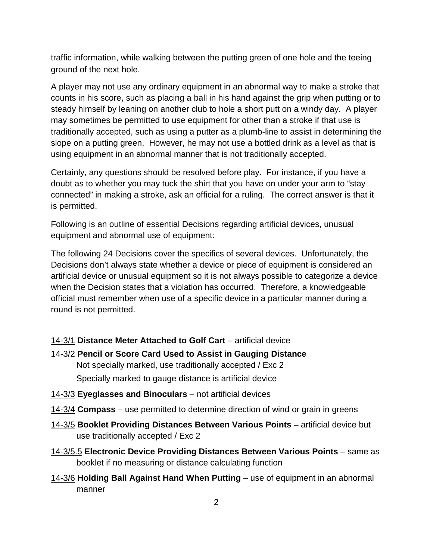traffic information, while walking between the putting green of one hole and the teeing ground of the next hole.

A player may not use any ordinary equipment in an abnormal way to make a stroke that counts in his score, such as placing a ball in his hand against the grip when putting or to steady himself by leaning on another club to hole a short putt on a windy day. A player may sometimes be permitted to use equipment for other than a stroke if that use is traditionally accepted, such as using a putter as a plumb-line to assist in determining the slope on a putting green. However, he may not use a bottled drink as a level as that is using equipment in an abnormal manner that is not traditionally accepted.

Certainly, any questions should be resolved before play. For instance, if you have a doubt as to whether you may tuck the shirt that you have on under your arm to "stay connected" in making a stroke, ask an official for a ruling. The correct answer is that it is permitted.

Following is an outline of essential Decisions regarding artificial devices, unusual equipment and abnormal use of equipment:

The following 24 Decisions cover the specifics of several devices. Unfortunately, the Decisions don't always state whether a device or piece of equipment is considered an artificial device or unusual equipment so it is not always possible to categorize a device when the Decision states that a violation has occurred. Therefore, a knowledgeable official must remember when use of a specific device in a particular manner during a round is not permitted.

14-3/1 **Distance Meter Attached to Golf Cart** – artificial device

- 14-3/2 **Pencil or Score Card Used to Assist in Gauging Distance** Not specially marked, use traditionally accepted / Exc 2 Specially marked to gauge distance is artificial device
- 14-3/3 **Eyeglasses and Binoculars** not artificial devices
- 14-3/4 **Compass** use permitted to determine direction of wind or grain in greens
- 14-3/5 **Booklet Providing Distances Between Various Points** artificial device but use traditionally accepted / Exc 2
- 14-3/5.5 **Electronic Device Providing Distances Between Various Points** same as booklet if no measuring or distance calculating function
- 14-3/6 **Holding Ball Against Hand When Putting** use of equipment in an abnormal manner